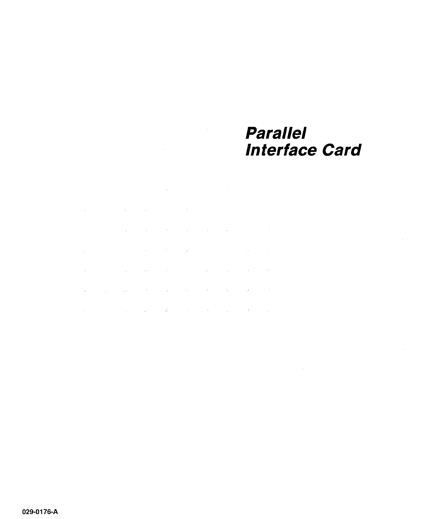### **Parallel Interface Card**

 $\sim 10^{-1}$ 

 $\sim$ 

 $\sim 10^7$ 

and the second control of the second control of the second control of the second

 $\mathcal{L}^{\text{max}}_{\text{max}}$  , where  $\mathcal{L}^{\text{max}}_{\text{max}}$ 

and the state of the state of the

**Contract Contract** 

 $\sim$ 

 $\mathcal{L}^{\text{max}}$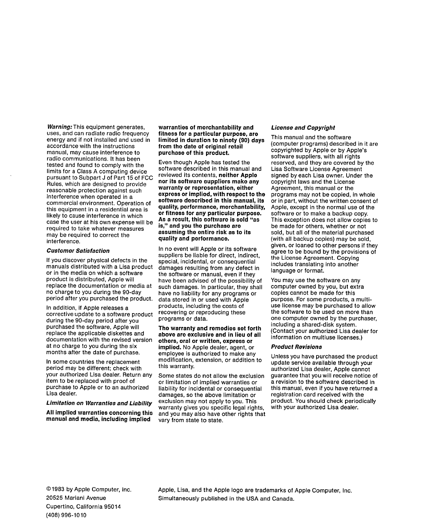Warning: This equipment generates, uses, and can radiate radio frequency energy and if not installed and used in accordance with the instructions manual, may cause interference to radio communications. It has been tested and found to comply with the limits for a Class A computing device pursuant to Subpart J of Part 15 of FCC Rules, which are designed to provide reasonable protection against such interference when operated in a commercial environment. Operation of this equipment in a residential area is likely to cause interference in which case the user at his own expense will be required to take whatever measures may be required to correct the interference.

#### Customor Satisfaction

If you discover physical defects in the manuals distributed with a Lisa product or in the media on which a software product is distributed, Apple will replace the documentation or media at no charge to you during the 90-day period after you purchased the product.

In addition, if Apple releases a corrective update to a software product during the 90-day period after you purchased the software, Apple will replace the applicable diskettes and documentation with the revised version at no charge to you during the six months after the date of purchase.

In some countries the replacement period may be different; check with your authorized Lisa dealer. Return any item to be replaced with proof of purchase to Apple or to an authorized Lisa dealer.

Limitation on Warrantios and Liability

All implied warranties concerning this manual and modia, including implied

warrantios of morchantability and fitness for a particular purpose, are limited in duration to ninety (90) days from tho dato of original retail purchase of this product.

Even though Apple has tested the software described in this manual and reviewed its contents, neither Apple nor its software suppliers make any warranty or ropresontation, oither express or implied, with respect to the software described in this manual, its quality, pcrformance, merchantability, or fitness for any particular purpose. Aa a roault, thia ooftwaro ia sold "aa is," and you the purchase aro assuming the entire risk as to its quality and porformance.

In no event will Apple or its software suppliers be liable for direct, indirect, special, incidental, or consequential damages resulting from any defect in the software or manual, even if they have been advised of the possibility of such damages. In particular, they shall have no liability for any programs or data stored in or used with Apple products, including the costs of recovering or reproducing these programs or data.

Tho warranty and remodios sot forth abovo are excluaivo and in lieu of all othora, oral or written, expresa or implied. No Apple dealer, agent, or employee is authorized to make any modification, extension, or addition to this warranty.

Some states do not allow the exclusion or limitation of implied warranties or liability for incidental or consequential damages, so the above limitation or exclusion may not apply to you. This warranty gives you specific legal rights, and you may also have other rights that vary from state to state.

#### License and Copyright

This manual and the software (computer programs) described in it are copyrighted by Apple or by Apple's software suppliers, with all rights reserved, and they are covered by the Lisa Software License Agreement signed by each Lisa owner. Under the copyright laws and the License Agreement, this manual or the programs may not be copied, in whole or in part, without the written consent of Apple, except in the normal use of the software or to make a backup copy. This exception does not allow copies to be made for others, whether or not sold, but all of the material purchased (with all backup copies) may be sold, given, or loaned to other persons if they agree to be bound by the provisions of the License Agreement. Copying includes translating into another language or format.

You may use the software on any computer owned by you, but extra copies cannot be made for this purpose. For some products, a multiuse license may be purchased to allow the software to be used on more than one computer owned by the purchaser, including a shared-disk system. (Contact your authorized Lisa dealer for information on multiuse licenses.)

#### Product Rovisions

Unless you have purchased the product update service available through your authorized Lisa dealer, Apple cannot guarantee that you will receive notice of a revision to the software described in this manual, even if you have returned a registration card received with the product. You should check periodically with your authorized Lisa dealer.

Apple, Lisa, and the Apple logo are trademarks of Apple Computer, Inc. Simultaneously published in the USA and Canada.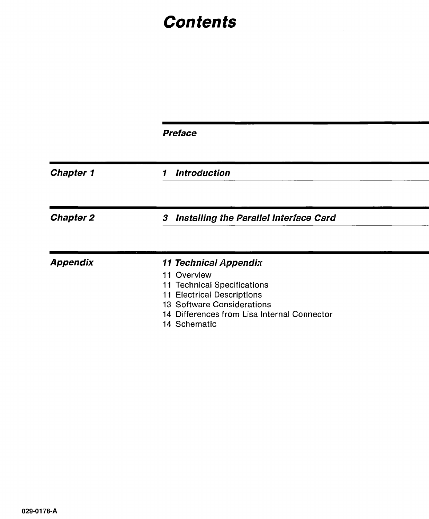# **Contents**

 $\sim 10^{11}$  km s  $^{-1}$ 

|                  | <b>Preface</b>                                                                                                                                   |  |  |  |  |
|------------------|--------------------------------------------------------------------------------------------------------------------------------------------------|--|--|--|--|
| <b>Chapter 1</b> | <b>Introduction</b><br>1                                                                                                                         |  |  |  |  |
| <b>Chapter 2</b> | Installing the Parallel Interface Card<br>3                                                                                                      |  |  |  |  |
| <b>Appendix</b>  | <b>11 Technical Appendix</b><br>11 Overview<br>11 Technical Specifications<br><b>Electrical Descriptions</b><br>11<br>13 Software Considerations |  |  |  |  |
|                  | 14 Differences from Lisa Internal Connector<br>14 Schematic                                                                                      |  |  |  |  |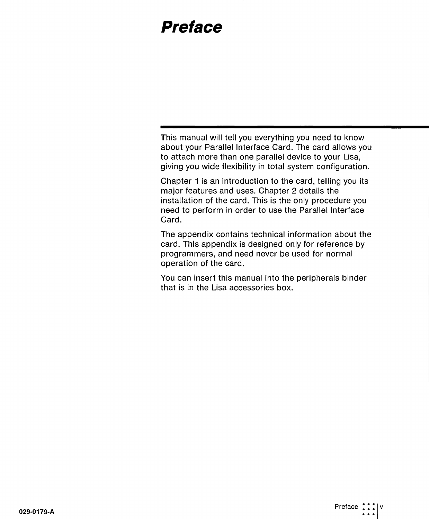## **Preface**

This manual will tell you everything you need to know about your Parallel Interface Card. The card allows you to attach more than one parallel device to your Lisa, giving you wide flexibility in total system configuration.

Chapter 1 is an introduction to the card, telling you its major features and uses. Chapter 2 details the installation of the card. This is the only procedure you need to perform in order to use the Parallel Interface Card.

The appendix contains technical information about the card. This appendix is designed only for reference by programmers, and need never be used for normal operation of the card.

You can insert this manual into the peripherals binder that is in the Lisa accessories box.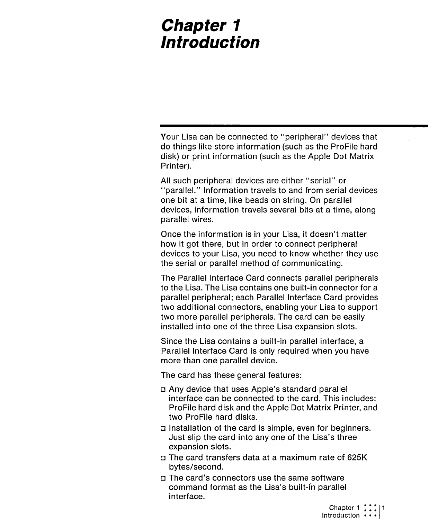### **Chapter 1 Introduction**

Your Lisa can be connected to "peripheral" devices that do things like store information (such as the ProFile hard disk) or print information (such as the Apple Dot Matrix Printer).

All such peripheral devices are either "serial" or "parallel." Information travels to and from serial devices one bit at a time, like beads on string. On parallel devices, information travels several bits at a time, along parallel wires.

Once the information is in your Lisa, it doesn't matter how it got there, but in order to connect peripheral devices to your Lisa, you need to know whether they use the serial or parallel method of communicating.

The Parallel Interface Card connects parallel peripherals to the Lisa. The Lisa contains one built-in connector for a parallel peripheral; each Parallel Interface Card provides two additional connectors, enabling your Lisa to support two more parallel peripherals. The card can be easily installed into one of the three Lisa expansion slots.

Since the Lisa contains a built-in parallel interface, a Parallel Interface Card is only required when you have more than one parallel device.

The card has these general features:

- o Any device that uses Apple's standard parallel interface can be connected to the card. This includes: ProFile hard disk and the Apple Dot Matrix Printer, and two ProFile hard disks.
- $\square$  Installation of the card is simple, even for beginners. Just slip the card into anyone of the Lisa's three expansion slots.
- o The card transfers data at a maximum rate of 625K bytes/second.
- o The card's connectors use the same software command format as the Lisa's built-in parallel interface.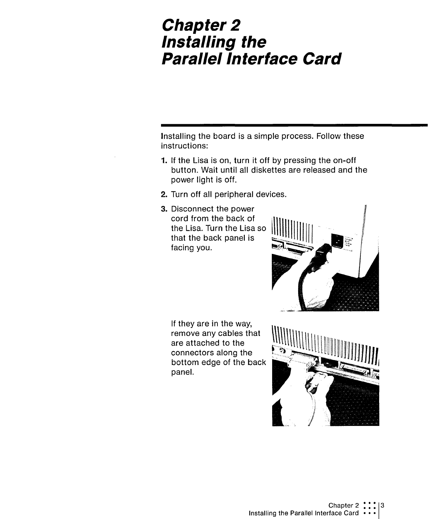### **Chapter 2 Installing the**  Para/lei Interface **Card**

Installing the board is a simple process. Follow these instructions:

- 1. If the Lisa is on, turn it off by pressing the on-off button. Wait until all diskettes are released and the power light is off.
- 2. Turn off all peripheral devices.
- 3. Disconnect the power cord from the back of the Lisa. Turn the Lisa so that the back panel is facing you.



If they are in the way, remove any cables that are attached to the connectors along the bottom edge of the back panel.

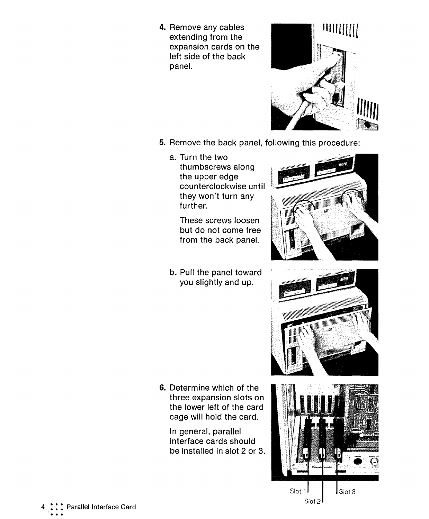4. Remove any cables extending from the expansion cards on the left side of the back panel.



- 5. Remove the back panel, following this procedure:
	- a. Turn the two thumbscrews along the upper edge counterclockwise until they won't turn any further.

These screws loosen but do not come free from the back panel.

b. Pull the panel toward you slightly and up.





 $S$ lot 1  $\parallel$  Slot 3 Slot 2

6. Determine which of the three expansion slots on the lower left of the card cage will hold the card.

In general, parallel interface cards should be installed in slot 2 or 3.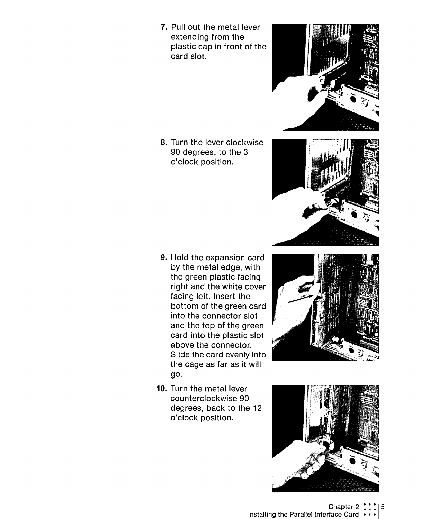7. Pull out the metal lever extending from the plastic cap in front of the card slot.

8. Turn the lever clockwise 90 degrees, to the 3 o'clock position.

- 9. Hold the expansion card by the metal edge, with the green plastic facing right and the white cover facing left. Insert the bottom of the green card into the connector slot and the top of the green card into the plastic slot above the connector. Slide the card evenly into the cage as far as it will go.
- 10. Turn the metal lever counterclockwise 90 degrees, back to the 12 o'clock position.









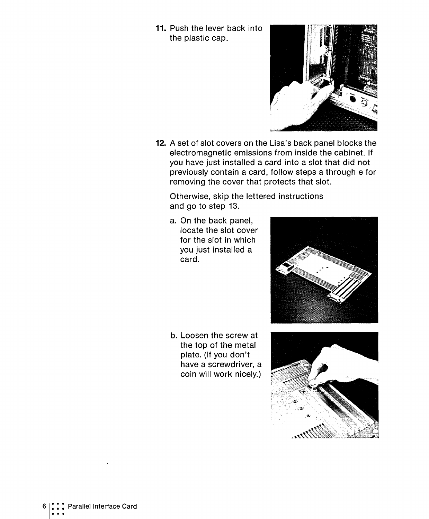**11.** Push the lever back into the plastic cap.



**12.** A set of slot covers on the Lisa's back panel blocks the electromagnetic emissions from inside the cabinet. If you have just installed a card into a slot that did not previously contain a card, follow steps a through e for removing the cover that protects that slot.

Otherwise, skip the lettered instructions and go to step 13.

a. On the back panel, locate the slot cover for the slot in which you just installed a card.

b. Loosen the screw at the top of the metal plate. (If you don't have a screwdriver, a coin will work nicely.)



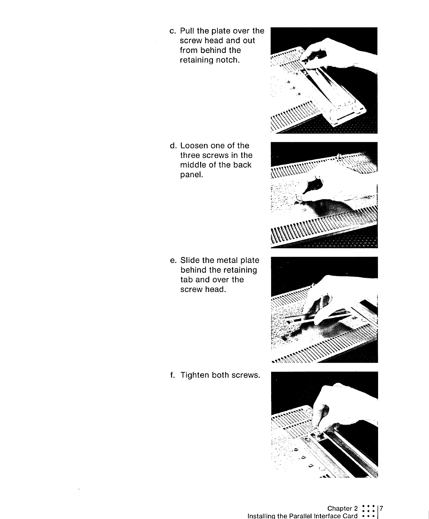c. Pull the plate over the screw head and out from behind the retaining notch.

d. Loosen one of the three screws in the middle of the back panel.

e. Slide the metal plate behind the retaining tab and over the screw head.

f. Tighten both screws.





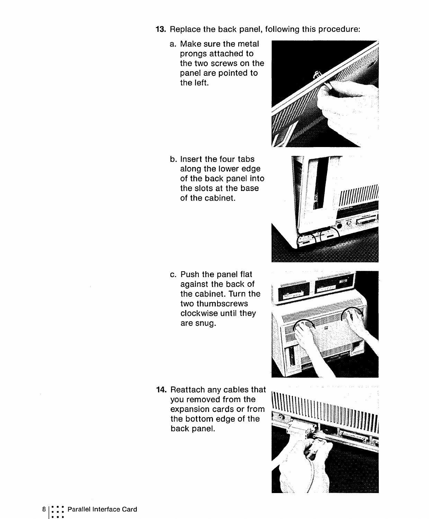- **13.** Replace the back panel, following this procedure:
	- a. Make sure the metal prongs attached to the two screws on the panel are pointed to the left.

b. Insert the four tabs along the lower edge of the back panel into the slots at the base of the cabinet.

c. Push the panel flat against the back of the cabinet. Turn the two thumbscrews clockwise until they are snug.

**14.** Reattach any cables that you removed from the expansion cards or from the bottom edge of the back panel.







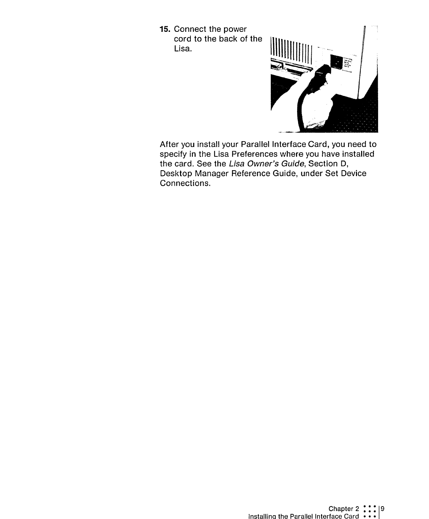**15.** Connect the power cord to the back of the Lisa.



After you install your Parallel Interface Card, you need to specify in the Lisa Preferences where you have installed the card. See the Lisa Owner's Guide, Section D, Desktop Manager Reference Guide, under Set Device Connections.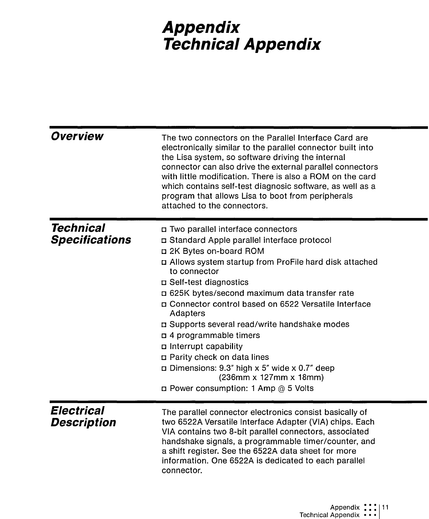# **Appendix Technical Appendix**

| Overview                                  | The two connectors on the Parallel Interface Card are<br>electronically similar to the parallel connector built into<br>the Lisa system, so software driving the internal<br>connector can also drive the external parallel connectors<br>with little modification. There is also a ROM on the card<br>which contains self-test diagnosic software, as well as a<br>program that allows Lisa to boot from peripherals<br>attached to the connectors.                                                                                                                                                             |
|-------------------------------------------|------------------------------------------------------------------------------------------------------------------------------------------------------------------------------------------------------------------------------------------------------------------------------------------------------------------------------------------------------------------------------------------------------------------------------------------------------------------------------------------------------------------------------------------------------------------------------------------------------------------|
| <b>Technical</b><br><b>Specifications</b> | <b>D</b> Two parallel interface connectors<br>□ Standard Apple parallel interface protocol<br>n 2K Bytes on-board ROM<br>p Allows system startup from ProFile hard disk attached<br>to connector<br>□ Self-test diagnostics<br>□ 625K bytes/second maximum data transfer rate<br>p Connector control based on 6522 Versatile Interface<br>Adapters<br>n Supports several read/write handshake modes<br>□ 4 programmable timers<br>n Interrupt capability<br>p Parity check on data lines<br>$\Box$ Dimensions: 9.3" high x 5" wide x 0.7" deep<br>(236mm x 127mm x 18mm)<br>□ Power consumption: 1 Amp @ 5 Volts |
| <b>Electrical</b><br><b>Description</b>   | The parallel connector electronics consist basically of<br>two 6522A Versatile Interface Adapter (VIA) chips. Each<br>VIA contains two 8-bit parallel connectors, associated<br>handshake signals, a programmable timer/counter, and<br>a shift register. See the 6522A data sheet for more<br>information. One 6522A is dedicated to each parallel<br>connector.                                                                                                                                                                                                                                                |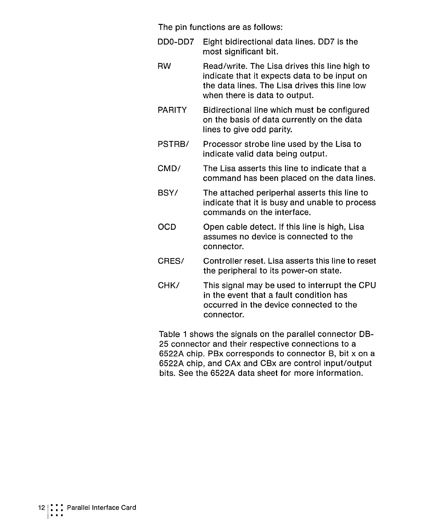The pin functions are as follows:

- ODD-DO? Eight bidirectional data lines. DD? is the most significant bit.
- RW Read/write. The Lisa drives this line high to indicate that it expects data to be input on the data lines. The Lisa drives this line low when there is data to output.
- PARITY Bidirectional line which must be configured on the basis of data currently on the data lines to give odd parity.
- PSTRB/ Processor strobe line used by the Lisa to indicate valid data being output.
- CMD/ The Lisa asserts this line to indicate that a command has been placed on the data lines.
- BSY/ The attached periperhal asserts this line to indicate that it is busy and unable to process commands on the interface.
- OCD Open cable detect. If this line is high, Lisa assumes no device is connected to the connector.
- CRES/ Controller reset. Lisa asserts this line to reset the peripheral to its power-on state.
- CHK/ This signal may be used to interrupt the CPU in the event that a fault condition has occurred in the device connected to the connector.

Table 1 shows the signals on the parallel connector DB-25 connector and their respective connections to a 6522A chip. PBx corresponds to connector B, bit x on a 6522A chip, and CAx and CBx are control input/output bits. See the 6522A data sheet for more information.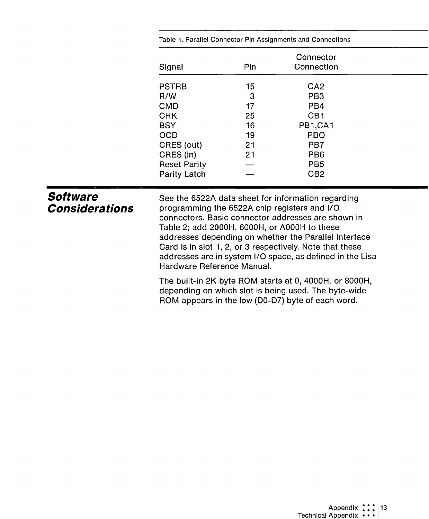|                     | Connector |                 |  |  |
|---------------------|-----------|-----------------|--|--|
| Signal              | Pin       | Connection      |  |  |
| <b>PSTRB</b>        | 15        | CA <sub>2</sub> |  |  |
| R/W                 | 3         | PB <sub>3</sub> |  |  |
| <b>CMD</b>          | 17        | PB4             |  |  |
| <b>CHK</b>          | 25        | CB <sub>1</sub> |  |  |
| BSY                 | 16        | PB1,CA1         |  |  |
| <b>OCD</b>          | 19        | <b>PBO</b>      |  |  |
| CRES (out)          | 21        | PB7             |  |  |
| CRES (in)           | 21        | PB <sub>6</sub> |  |  |
| <b>Reset Parity</b> |           | PB <sub>5</sub> |  |  |
| <b>Parity Latch</b> |           | CB <sub>2</sub> |  |  |

Table 1. Parallel Connector Pin Assignments and Connections

| <b>Software</b><br><b>Considerations</b> | See the 6522A data sheet for information regarding<br>programming the 6522A chip registers and I/O<br>connectors. Basic connector addresses are shown in<br>Table 2; add 2000H, 6000H, or A000H to these<br>addresses depending on whether the Parallel Interface<br>Card is in slot 1, 2, or 3 respectively. Note that these<br>addresses are in system I/O space, as defined in the Lisa |
|------------------------------------------|--------------------------------------------------------------------------------------------------------------------------------------------------------------------------------------------------------------------------------------------------------------------------------------------------------------------------------------------------------------------------------------------|
|                                          | Hardware Reference Manual.                                                                                                                                                                                                                                                                                                                                                                 |
|                                          | The built-in 2K byte ROM starts at 0, 4000H, or 8000H,<br>depending on which slot is being used. The byte-wide                                                                                                                                                                                                                                                                             |

depending on which slot is being used. The byte-wide ROM appears in the low (00-07) byte of each word.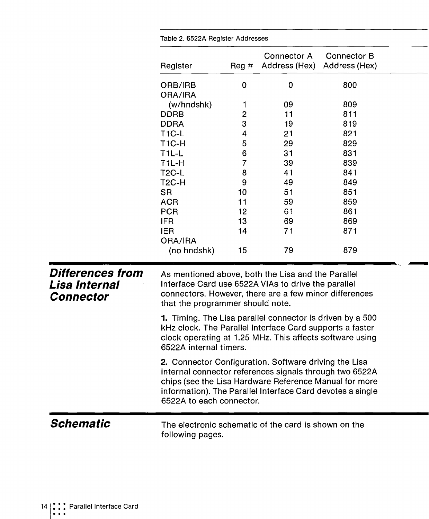|                                                              | Table 2. 0022A Heyister Auditesses                                                                                                                                                                                                                                   |                         |                                     |                                     |  |  |
|--------------------------------------------------------------|----------------------------------------------------------------------------------------------------------------------------------------------------------------------------------------------------------------------------------------------------------------------|-------------------------|-------------------------------------|-------------------------------------|--|--|
|                                                              | Register                                                                                                                                                                                                                                                             | Reg $#$                 | <b>Connector A</b><br>Address (Hex) | <b>Connector B</b><br>Address (Hex) |  |  |
|                                                              | ORB/IRB<br>ORA/IRA                                                                                                                                                                                                                                                   | 0                       | 0                                   | 800                                 |  |  |
|                                                              | (w/hndshk)                                                                                                                                                                                                                                                           | 1                       | 09                                  | 809                                 |  |  |
|                                                              | DDRB                                                                                                                                                                                                                                                                 | $\overline{\mathbf{c}}$ | 11                                  | 811                                 |  |  |
|                                                              | <b>DDRA</b>                                                                                                                                                                                                                                                          | 3                       | 19                                  | 819                                 |  |  |
|                                                              | <b>T1C-L</b>                                                                                                                                                                                                                                                         | 4                       | 21<br>29                            | 821<br>829                          |  |  |
|                                                              | <b>T1C-H</b>                                                                                                                                                                                                                                                         | 5                       |                                     |                                     |  |  |
|                                                              | $T1L-L$                                                                                                                                                                                                                                                              | 6                       | 31                                  | 831                                 |  |  |
|                                                              | T <sub>1L-H</sub>                                                                                                                                                                                                                                                    | $\overline{7}$          | 39                                  | 839                                 |  |  |
|                                                              | T <sub>2</sub> C-L                                                                                                                                                                                                                                                   | 8                       | 41                                  | 841                                 |  |  |
|                                                              | T <sub>2</sub> C-H                                                                                                                                                                                                                                                   | 9                       | 49                                  | 849                                 |  |  |
|                                                              | <b>SR</b>                                                                                                                                                                                                                                                            | 10                      | 51                                  | 851                                 |  |  |
|                                                              | <b>ACR</b>                                                                                                                                                                                                                                                           | 11                      | 59                                  | 859                                 |  |  |
|                                                              | <b>PCR</b>                                                                                                                                                                                                                                                           | 12                      | 61                                  | 861                                 |  |  |
|                                                              | <b>IFR</b>                                                                                                                                                                                                                                                           | 13                      | 69                                  | 869                                 |  |  |
|                                                              | <b>IER</b>                                                                                                                                                                                                                                                           | 14                      | 71                                  | 871                                 |  |  |
|                                                              | ORA/IRA<br>(no hndshk)                                                                                                                                                                                                                                               | 15                      | 79                                  | 879                                 |  |  |
| <b>Differences from</b><br>Lisa Internal<br><b>Connector</b> | As mentioned above, both the Lisa and the Parallel<br>Interface Card use 6522A VIAs to drive the parallel<br>connectors. However, there are a few minor differences<br>that the programmer should note.                                                              |                         |                                     |                                     |  |  |
|                                                              | 1. Timing. The Lisa parallel connector is driven by a 500<br>kHz clock. The Parallel Interface Card supports a faster<br>clock operating at 1.25 MHz. This affects software using<br>6522A internal timers.                                                          |                         |                                     |                                     |  |  |
|                                                              | 2. Connector Configuration. Software driving the Lisa<br>internal connector references signals through two 6522A<br>chips (see the Lisa Hardware Reference Manual for more<br>information). The Parallel Interface Card devotes a single<br>6522A to each connector. |                         |                                     |                                     |  |  |
| <b>Schematic</b>                                             | The electronic schematic of the card is shown on the<br>following pages.                                                                                                                                                                                             |                         |                                     |                                     |  |  |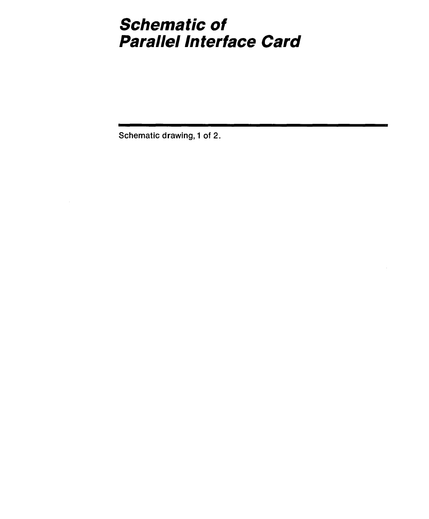### **Schematic of Parallel Interface Card**

Schematic drawing, 1 of 2.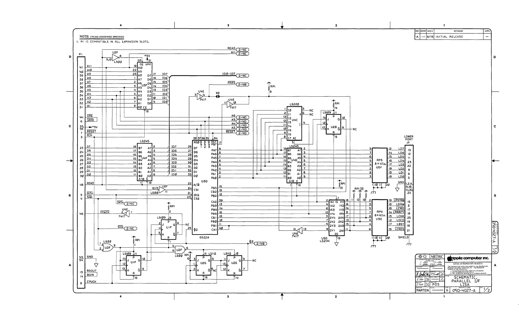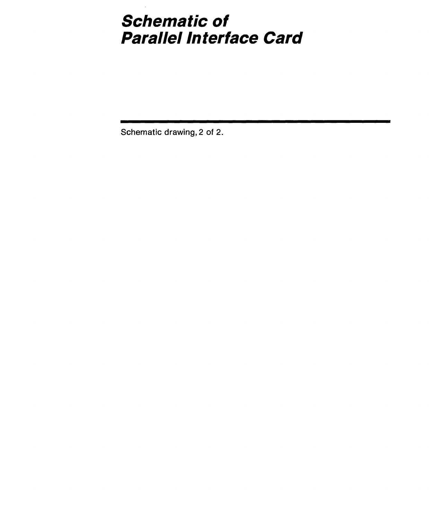### **Schematic of**  Parallel Interface **Card**

Schematic drawing, 2 of 2.